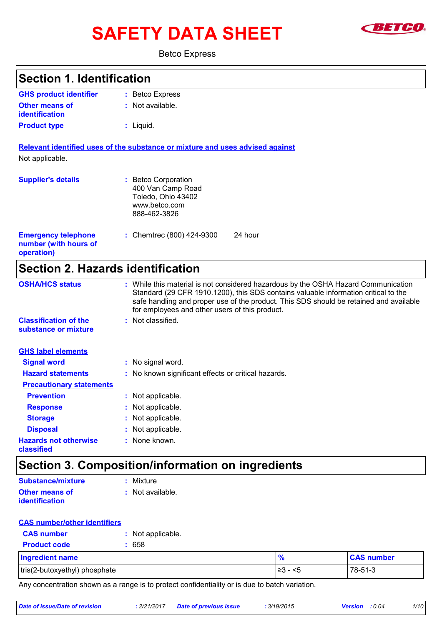# SAFETY DATA SHEET **SAFETY**



#### Betco Express

| <b>Section 1. Identification</b>                                  |                                                                                                                                                                                                                                                                                                                       |
|-------------------------------------------------------------------|-----------------------------------------------------------------------------------------------------------------------------------------------------------------------------------------------------------------------------------------------------------------------------------------------------------------------|
| <b>GHS product identifier</b>                                     | : Betco Express                                                                                                                                                                                                                                                                                                       |
| Other means of<br><b>identification</b>                           | : Not available.                                                                                                                                                                                                                                                                                                      |
| <b>Product type</b>                                               | : Liquid.                                                                                                                                                                                                                                                                                                             |
|                                                                   | Relevant identified uses of the substance or mixture and uses advised against                                                                                                                                                                                                                                         |
| Not applicable.                                                   |                                                                                                                                                                                                                                                                                                                       |
| <b>Supplier's details</b>                                         | : Betco Corporation<br>400 Van Camp Road<br>Toledo, Ohio 43402<br>www.betco.com<br>888-462-3826                                                                                                                                                                                                                       |
| <b>Emergency telephone</b><br>number (with hours of<br>operation) | 24 hour<br>: Chemtrec (800) 424-9300                                                                                                                                                                                                                                                                                  |
| <b>Section 2. Hazards identification</b>                          |                                                                                                                                                                                                                                                                                                                       |
| <b>OSHA/HCS status</b>                                            | : While this material is not considered hazardous by the OSHA Hazard Communication<br>Standard (29 CFR 1910.1200), this SDS contains valuable information critical to the<br>safe handling and proper use of the product. This SDS should be retained and available<br>for employees and other users of this product. |
| <b>Classification of the</b><br>substance or mixture              | : Not classified.                                                                                                                                                                                                                                                                                                     |
| <b>GHS label elements</b>                                         |                                                                                                                                                                                                                                                                                                                       |
| <b>Signal word</b>                                                | : No signal word.                                                                                                                                                                                                                                                                                                     |
| <b>Hazard statements</b>                                          | No known significant effects or critical hazards.                                                                                                                                                                                                                                                                     |
| <b>Precautionary statements</b>                                   |                                                                                                                                                                                                                                                                                                                       |
| <b>Prevention</b>                                                 | : Not applicable.                                                                                                                                                                                                                                                                                                     |
| <b>Response</b>                                                   | Not applicable.                                                                                                                                                                                                                                                                                                       |
| <b>Storage</b>                                                    | Not applicable.                                                                                                                                                                                                                                                                                                       |
| <b>Disposal</b>                                                   | Not applicable.                                                                                                                                                                                                                                                                                                       |

### **Section 3. Composition/information on ingredients**

**:** None known.

| <b>Substance/mixture</b>                       | : Mixture          |
|------------------------------------------------|--------------------|
| <b>Other means of</b><br><b>identification</b> | $:$ Not available. |

#### **CAS number/other identifiers**

**Hazards not otherwise** 

**classified**

| المتمسم متناسب والمتمسم ومرارا |                   |
|--------------------------------|-------------------|
| <b>Product code</b>            | : 658             |
| <b>CAS number</b>              | : Not applicable. |

| <b>Ingredient name</b>        |              | <b>CAS number</b> |
|-------------------------------|--------------|-------------------|
| tris(2-butoxyethyl) phosphate | - <5<br>⊩ ⊂ఎ | 78-51-3           |

Any concentration shown as a range is to protect confidentiality or is due to batch variation.

| Date of issue/Date of revision | : 2/21/2017 | <b>Date of previous issue</b> | : 3/19/2015 | <b>Version</b> : 0.04 | 1/10 |
|--------------------------------|-------------|-------------------------------|-------------|-----------------------|------|
|                                |             |                               |             |                       |      |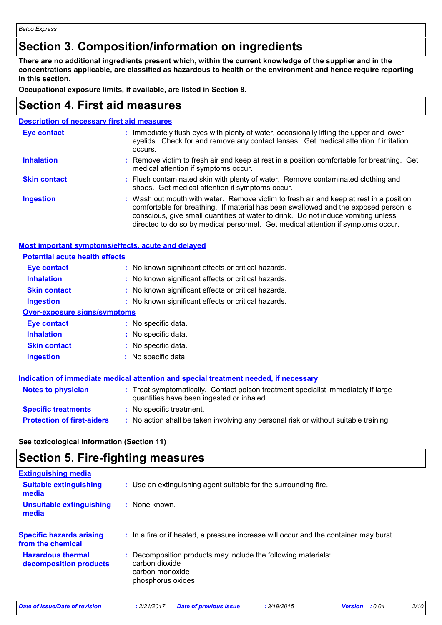### **Section 3. Composition/information on ingredients**

**There are no additional ingredients present which, within the current knowledge of the supplier and in the concentrations applicable, are classified as hazardous to health or the environment and hence require reporting in this section.**

**Occupational exposure limits, if available, are listed in Section 8.**

### **Section 4. First aid measures**

| <b>Description of necessary first aid measures</b> |                                                                                                                                                                                                                                                                                                                                                        |  |  |  |
|----------------------------------------------------|--------------------------------------------------------------------------------------------------------------------------------------------------------------------------------------------------------------------------------------------------------------------------------------------------------------------------------------------------------|--|--|--|
| Eye contact                                        | : Immediately flush eyes with plenty of water, occasionally lifting the upper and lower<br>eyelids. Check for and remove any contact lenses. Get medical attention if irritation<br>occurs.                                                                                                                                                            |  |  |  |
| <b>Inhalation</b>                                  | : Remove victim to fresh air and keep at rest in a position comfortable for breathing. Get<br>medical attention if symptoms occur.                                                                                                                                                                                                                     |  |  |  |
| <b>Skin contact</b>                                | : Flush contaminated skin with plenty of water. Remove contaminated clothing and<br>shoes. Get medical attention if symptoms occur.                                                                                                                                                                                                                    |  |  |  |
| <b>Ingestion</b>                                   | : Wash out mouth with water. Remove victim to fresh air and keep at rest in a position<br>comfortable for breathing. If material has been swallowed and the exposed person is<br>conscious, give small quantities of water to drink. Do not induce vomiting unless<br>directed to do so by medical personnel. Get medical attention if symptoms occur. |  |  |  |

#### **Most important symptoms/effects, acute and delayed**

| <b>Potential acute health effects</b> |                                                                                                                                |
|---------------------------------------|--------------------------------------------------------------------------------------------------------------------------------|
| Eye contact                           | : No known significant effects or critical hazards.                                                                            |
| <b>Inhalation</b>                     | : No known significant effects or critical hazards.                                                                            |
| <b>Skin contact</b>                   | : No known significant effects or critical hazards.                                                                            |
| <b>Ingestion</b>                      | : No known significant effects or critical hazards.                                                                            |
| <b>Over-exposure signs/symptoms</b>   |                                                                                                                                |
| Eye contact                           | : No specific data.                                                                                                            |
| <b>Inhalation</b>                     | : No specific data.                                                                                                            |
| <b>Skin contact</b>                   | : No specific data.                                                                                                            |
| <b>Ingestion</b>                      | : No specific data.                                                                                                            |
|                                       | Indication of immediate medical attention and special treatment needed, if necessary                                           |
| Notes to physician                    | : Treat symptomatically. Contact poison treatment specialist immediately if large<br>quantities have been ingested or inhaled. |
| <b>Specific treatments</b>            | : No specific treatment.                                                                                                       |
| <b>Protection of first-aiders</b>     | : No action shall be taken involving any personal risk or without suitable training.                                           |

**See toxicological information (Section 11)**

### **Section 5. Fire-fighting measures**

| <b>Extinguishing media</b>                           |                                                                                                                         |
|------------------------------------------------------|-------------------------------------------------------------------------------------------------------------------------|
| <b>Suitable extinguishing</b><br>media               | : Use an extinguishing agent suitable for the surrounding fire.                                                         |
| <b>Unsuitable extinguishing</b><br>media             | : None known.                                                                                                           |
| <b>Specific hazards arising</b><br>from the chemical | : In a fire or if heated, a pressure increase will occur and the container may burst.                                   |
| <b>Hazardous thermal</b><br>decomposition products   | : Decomposition products may include the following materials:<br>carbon dioxide<br>carbon monoxide<br>phosphorus oxides |

| Date of issue/Date of revision | : 2/21/2017 | <b>Date of previous issue</b> | : 3/19/2015 | <b>Version</b> : 0.04 | 2/10 |
|--------------------------------|-------------|-------------------------------|-------------|-----------------------|------|
|                                |             |                               |             |                       |      |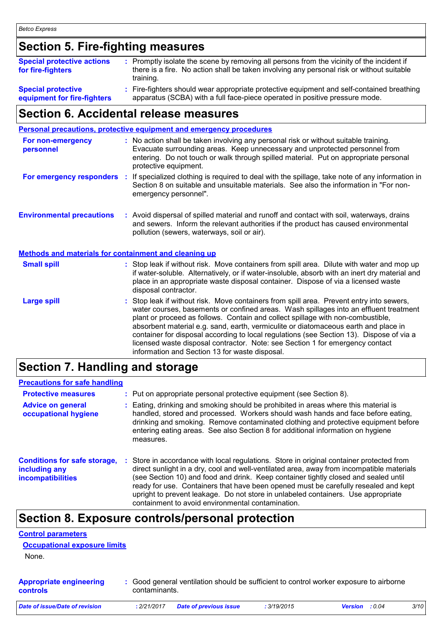### **Section 5. Fire-fighting measures**

| <b>Special protective actions</b><br>for fire-fighters | : Promptly isolate the scene by removing all persons from the vicinity of the incident if<br>there is a fire. No action shall be taken involving any personal risk or without suitable<br>training. |
|--------------------------------------------------------|-----------------------------------------------------------------------------------------------------------------------------------------------------------------------------------------------------|
| <b>Special protective</b>                              | : Fire-fighters should wear appropriate protective equipment and self-contained breathing                                                                                                           |
| equipment for fire-fighters                            | apparatus (SCBA) with a full face-piece operated in positive pressure mode.                                                                                                                         |

### **Section 6. Accidental release measures**

|                                                       | Personal precautions, protective equipment and emergency procedures                                                                                                                                                                                                                                                                                                                                                                                                                                                                                                                        |
|-------------------------------------------------------|--------------------------------------------------------------------------------------------------------------------------------------------------------------------------------------------------------------------------------------------------------------------------------------------------------------------------------------------------------------------------------------------------------------------------------------------------------------------------------------------------------------------------------------------------------------------------------------------|
| For non-emergency<br>personnel                        | : No action shall be taken involving any personal risk or without suitable training.<br>Evacuate surrounding areas. Keep unnecessary and unprotected personnel from<br>entering. Do not touch or walk through spilled material. Put on appropriate personal<br>protective equipment.                                                                                                                                                                                                                                                                                                       |
|                                                       | For emergency responders : If specialized clothing is required to deal with the spillage, take note of any information in<br>Section 8 on suitable and unsuitable materials. See also the information in "For non-<br>emergency personnel".                                                                                                                                                                                                                                                                                                                                                |
| <b>Environmental precautions</b>                      | : Avoid dispersal of spilled material and runoff and contact with soil, waterways, drains<br>and sewers. Inform the relevant authorities if the product has caused environmental<br>pollution (sewers, waterways, soil or air).                                                                                                                                                                                                                                                                                                                                                            |
| Methods and materials for containment and cleaning up |                                                                                                                                                                                                                                                                                                                                                                                                                                                                                                                                                                                            |
| <b>Small spill</b>                                    | : Stop leak if without risk. Move containers from spill area. Dilute with water and mop up<br>if water-soluble. Alternatively, or if water-insoluble, absorb with an inert dry material and<br>place in an appropriate waste disposal container. Dispose of via a licensed waste<br>disposal contractor.                                                                                                                                                                                                                                                                                   |
| <b>Large spill</b>                                    | : Stop leak if without risk. Move containers from spill area. Prevent entry into sewers,<br>water courses, basements or confined areas. Wash spillages into an effluent treatment<br>plant or proceed as follows. Contain and collect spillage with non-combustible,<br>absorbent material e.g. sand, earth, vermiculite or diatomaceous earth and place in<br>container for disposal according to local regulations (see Section 13). Dispose of via a<br>licensed waste disposal contractor. Note: see Section 1 for emergency contact<br>information and Section 13 for waste disposal. |

### **Section 7. Handling and storage**

#### **Precautions for safe handling**

| <b>Protective measures</b><br><b>Advice on general</b><br>occupational hygiene   |   | : Put on appropriate personal protective equipment (see Section 8).<br>Eating, drinking and smoking should be prohibited in areas where this material is<br>handled, stored and processed. Workers should wash hands and face before eating,<br>drinking and smoking. Remove contaminated clothing and protective equipment before<br>entering eating areas. See also Section 8 for additional information on hygiene<br>measures.                                                                          |
|----------------------------------------------------------------------------------|---|-------------------------------------------------------------------------------------------------------------------------------------------------------------------------------------------------------------------------------------------------------------------------------------------------------------------------------------------------------------------------------------------------------------------------------------------------------------------------------------------------------------|
| <b>Conditions for safe storage,</b><br>including any<br><b>incompatibilities</b> | ÷ | Store in accordance with local regulations. Store in original container protected from<br>direct sunlight in a dry, cool and well-ventilated area, away from incompatible materials<br>(see Section 10) and food and drink. Keep container tightly closed and sealed until<br>ready for use. Containers that have been opened must be carefully resealed and kept<br>upright to prevent leakage. Do not store in unlabeled containers. Use appropriate<br>containment to avoid environmental contamination. |

### **Section 8. Exposure controls/personal protection**

#### **Control parameters**

```
Occupational exposure limits
```
None.

| <b>Appropriate engineering</b> | : Good general ventilation should be sufficient to control worker exposure to airborne |
|--------------------------------|----------------------------------------------------------------------------------------|
| controls                       | contaminants.                                                                          |

| Date of issue/Date of revision | : 2/21/2017 Date of previous issue | : 3/19/2015 | <b>Version</b> : 0.04 | 3/10 |
|--------------------------------|------------------------------------|-------------|-----------------------|------|
|                                |                                    |             |                       |      |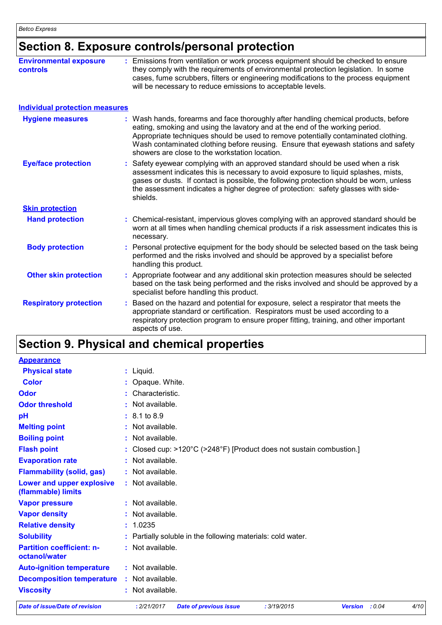### **Section 8. Exposure controls/personal protection**

| <b>Environmental exposure</b><br>controls | : Emissions from ventilation or work process equipment should be checked to ensure<br>they comply with the requirements of environmental protection legislation. In some<br>cases, fume scrubbers, filters or engineering modifications to the process equipment<br>will be necessary to reduce emissions to acceptable levels.                                  |                                                                                                                                                                                                                                                                                                                                                                                                   |  |  |  |
|-------------------------------------------|------------------------------------------------------------------------------------------------------------------------------------------------------------------------------------------------------------------------------------------------------------------------------------------------------------------------------------------------------------------|---------------------------------------------------------------------------------------------------------------------------------------------------------------------------------------------------------------------------------------------------------------------------------------------------------------------------------------------------------------------------------------------------|--|--|--|
| <b>Individual protection measures</b>     |                                                                                                                                                                                                                                                                                                                                                                  |                                                                                                                                                                                                                                                                                                                                                                                                   |  |  |  |
| <b>Hygiene measures</b>                   |                                                                                                                                                                                                                                                                                                                                                                  | : Wash hands, forearms and face thoroughly after handling chemical products, before<br>eating, smoking and using the lavatory and at the end of the working period.<br>Appropriate techniques should be used to remove potentially contaminated clothing.<br>Wash contaminated clothing before reusing. Ensure that eyewash stations and safety<br>showers are close to the workstation location. |  |  |  |
| <b>Eye/face protection</b>                | Safety eyewear complying with an approved standard should be used when a risk<br>assessment indicates this is necessary to avoid exposure to liquid splashes, mists,<br>gases or dusts. If contact is possible, the following protection should be worn, unless<br>the assessment indicates a higher degree of protection: safety glasses with side-<br>shields. |                                                                                                                                                                                                                                                                                                                                                                                                   |  |  |  |
| <b>Skin protection</b>                    |                                                                                                                                                                                                                                                                                                                                                                  |                                                                                                                                                                                                                                                                                                                                                                                                   |  |  |  |
| <b>Hand protection</b>                    | necessary.                                                                                                                                                                                                                                                                                                                                                       | : Chemical-resistant, impervious gloves complying with an approved standard should be<br>worn at all times when handling chemical products if a risk assessment indicates this is                                                                                                                                                                                                                 |  |  |  |
| <b>Body protection</b>                    | handling this product.                                                                                                                                                                                                                                                                                                                                           | Personal protective equipment for the body should be selected based on the task being<br>performed and the risks involved and should be approved by a specialist before                                                                                                                                                                                                                           |  |  |  |
| <b>Other skin protection</b>              | specialist before handling this product.                                                                                                                                                                                                                                                                                                                         | Appropriate footwear and any additional skin protection measures should be selected<br>based on the task being performed and the risks involved and should be approved by a                                                                                                                                                                                                                       |  |  |  |
| <b>Respiratory protection</b>             | aspects of use.                                                                                                                                                                                                                                                                                                                                                  | Based on the hazard and potential for exposure, select a respirator that meets the<br>appropriate standard or certification. Respirators must be used according to a<br>respiratory protection program to ensure proper fitting, training, and other important                                                                                                                                    |  |  |  |

### **Section 9. Physical and chemical properties**

| <b>Appearance</b>                                 |                                                                               |        |      |
|---------------------------------------------------|-------------------------------------------------------------------------------|--------|------|
| <b>Physical state</b>                             | : Liquid.                                                                     |        |      |
| <b>Color</b>                                      | : Opaque. White.                                                              |        |      |
| <b>Odor</b>                                       | : Characteristic.                                                             |        |      |
| <b>Odor threshold</b>                             | : Not available.                                                              |        |      |
| рH                                                | $: 8.1 \text{ to } 8.9$                                                       |        |      |
| <b>Melting point</b>                              | : Not available.                                                              |        |      |
| <b>Boiling point</b>                              | : Not available.                                                              |        |      |
| <b>Flash point</b>                                | : Closed cup: >120°C (>248°F) [Product does not sustain combustion.]          |        |      |
| <b>Evaporation rate</b>                           | : Not available.                                                              |        |      |
| <b>Flammability (solid, gas)</b>                  | : Not available.                                                              |        |      |
| Lower and upper explosive<br>(flammable) limits   | : Not available.                                                              |        |      |
| <b>Vapor pressure</b>                             | : Not available.                                                              |        |      |
| <b>Vapor density</b>                              | : Not available.                                                              |        |      |
| <b>Relative density</b>                           | : 1.0235                                                                      |        |      |
| <b>Solubility</b>                                 | : Partially soluble in the following materials: cold water.                   |        |      |
| <b>Partition coefficient: n-</b><br>octanol/water | : Not available.                                                              |        |      |
| <b>Auto-ignition temperature</b>                  | : Not available.                                                              |        |      |
| <b>Decomposition temperature</b>                  | : Not available.                                                              |        |      |
| <b>Viscosity</b>                                  | : Not available.                                                              |        |      |
| Date of issue/Date of revision                    | : 3/19/2015<br>: 2/21/2017<br><b>Date of previous issue</b><br><b>Version</b> | : 0.04 | 4/10 |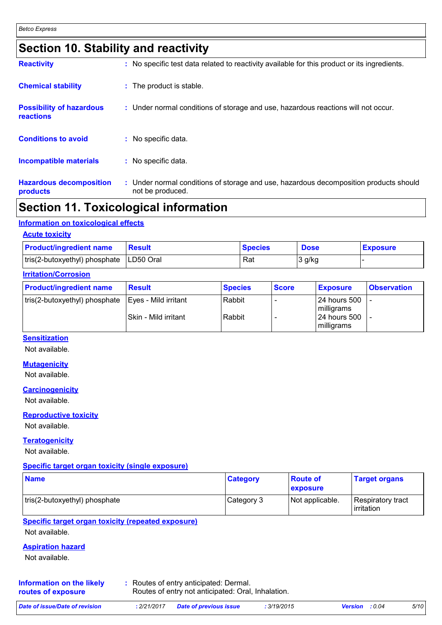### **Section 10. Stability and reactivity**

| <b>Reactivity</b>                                   | : No specific test data related to reactivity available for this product or its ingredients.              |
|-----------------------------------------------------|-----------------------------------------------------------------------------------------------------------|
| <b>Chemical stability</b>                           | : The product is stable.                                                                                  |
| <b>Possibility of hazardous</b><br><b>reactions</b> | : Under normal conditions of storage and use, hazardous reactions will not occur.                         |
| <b>Conditions to avoid</b>                          | : No specific data.                                                                                       |
| <b>Incompatible materials</b>                       | : No specific data.                                                                                       |
| <b>Hazardous decomposition</b><br>products          | : Under normal conditions of storage and use, hazardous decomposition products should<br>not be produced. |

### **Section 11. Toxicological information**

#### **Information on toxicological effects**

| <b>Acute toxicity</b>                     |        |                |             |                 |  |  |  |
|-------------------------------------------|--------|----------------|-------------|-----------------|--|--|--|
| <b>Product/ingredient name</b>            | Result | <b>Species</b> | <b>Dose</b> | <b>Exposure</b> |  |  |  |
| tris(2-butoxyethyl) phosphate   LD50 Oral |        | Rat            | 3 g/kg      |                 |  |  |  |

#### **Irritation/Corrosion**

| <b>Product/ingredient name</b>                       | <b>Result</b>               | <b>Species</b> | <b>Score</b> | <b>Exposure</b>                   | <b>Observation</b> |
|------------------------------------------------------|-----------------------------|----------------|--------------|-----------------------------------|--------------------|
| tris(2-butoxyethyl) phosphate   Eyes - Mild irritant |                             | Rabbit         |              | 24 hours 500<br>milligrams        |                    |
|                                                      | <b>Skin - Mild irritant</b> | Rabbit         |              | <b>24 hours 500</b><br>milligrams |                    |

#### **Sensitization**

Not available.

#### **Mutagenicity**

Not available.

**Carcinogenicity**

Not available.

#### **Reproductive toxicity**

Not available.

#### **Teratogenicity**

Not available.

#### **Specific target organ toxicity (single exposure)**

| <b>Name</b>                   | <b>Category</b> | <b>Route of</b><br><b>exposure</b> | <b>Target organs</b>            |
|-------------------------------|-----------------|------------------------------------|---------------------------------|
| tris(2-butoxyethyl) phosphate | Category 3      | Not applicable.                    | Respiratory tract<br>irritation |

#### **Specific target organ toxicity (repeated exposure)**

Not available.

#### **Aspiration hazard**

Not available.

| Information on the likely | : Routes of entry anticipated: Dermal.             |
|---------------------------|----------------------------------------------------|
| routes of exposure        | Routes of entry not anticipated: Oral, Inhalation. |

| Date of issue/Date of revision |  | : 2/21/2017 Date of previous issue | : 3/19/2015 | <b>Version</b> : 0.04 | 5/1C |
|--------------------------------|--|------------------------------------|-------------|-----------------------|------|
|--------------------------------|--|------------------------------------|-------------|-----------------------|------|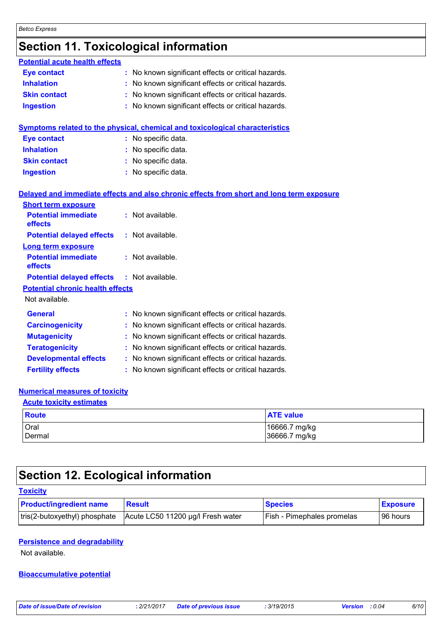## **Section 11. Toxicological information**

| <b>Potential acute health effects</b>   |                                                                                          |  |  |  |
|-----------------------------------------|------------------------------------------------------------------------------------------|--|--|--|
| <b>Eye contact</b>                      | : No known significant effects or critical hazards.                                      |  |  |  |
| <b>Inhalation</b>                       | : No known significant effects or critical hazards.                                      |  |  |  |
| <b>Skin contact</b>                     | No known significant effects or critical hazards.                                        |  |  |  |
| <b>Ingestion</b>                        | : No known significant effects or critical hazards.                                      |  |  |  |
|                                         |                                                                                          |  |  |  |
|                                         | Symptoms related to the physical, chemical and toxicological characteristics             |  |  |  |
| <b>Eye contact</b>                      | : No specific data.                                                                      |  |  |  |
| <b>Inhalation</b>                       | : No specific data.                                                                      |  |  |  |
| <b>Skin contact</b>                     | No specific data.                                                                        |  |  |  |
| <b>Ingestion</b>                        | : No specific data.                                                                      |  |  |  |
|                                         | Delayed and immediate effects and also chronic effects from short and long term exposure |  |  |  |
| <b>Short term exposure</b>              |                                                                                          |  |  |  |
| <b>Potential immediate</b><br>effects   | : Not available.                                                                         |  |  |  |
| <b>Potential delayed effects</b>        | : Not available.                                                                         |  |  |  |
| Long term exposure                      |                                                                                          |  |  |  |
| <b>Potential immediate</b><br>effects   | : Not available.                                                                         |  |  |  |
| <b>Potential delayed effects</b>        | : Not available.                                                                         |  |  |  |
| <b>Potential chronic health effects</b> |                                                                                          |  |  |  |
| Not available.                          |                                                                                          |  |  |  |
| <b>General</b>                          | : No known significant effects or critical hazards.                                      |  |  |  |
| <b>Carcinogenicity</b>                  | No known significant effects or critical hazards.                                        |  |  |  |
| <b>Mutagenicity</b>                     | No known significant effects or critical hazards.                                        |  |  |  |
| <b>Teratogenicity</b>                   | : No known significant effects or critical hazards.                                      |  |  |  |
| <b>Developmental effects</b>            | : No known significant effects or critical hazards.                                      |  |  |  |
| <b>Fertility effects</b>                | : No known significant effects or critical hazards.                                      |  |  |  |

#### **Numerical measures of toxicity**

| <b>Acute toxicity estimates</b> |                                |  |  |  |  |  |
|---------------------------------|--------------------------------|--|--|--|--|--|
| $\blacksquare$ Route            | <b>ATE value</b>               |  |  |  |  |  |
| Oral<br>Dermal                  | 16666.7 mg/kg<br>36666.7 mg/kg |  |  |  |  |  |

### **Section 12. Ecological information**

| <b>Toxicity</b>                |                                   |                                   |                 |
|--------------------------------|-----------------------------------|-----------------------------------|-----------------|
| <b>Product/ingredient name</b> | <b>Result</b>                     | <b>Species</b>                    | <b>Exposure</b> |
| tris(2-butoxyethyl) phosphate  | Acute LC50 11200 µg/l Fresh water | <b>Fish - Pimephales promelas</b> | 196 hours       |

#### **Persistence and degradability**

Not available.

#### **Bioaccumulative potential**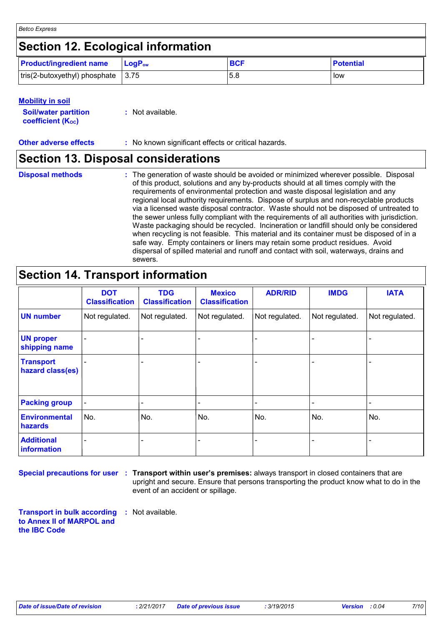### **Section 12. Ecological information**

| <b>Product/ingredient name</b>                     | <b>LogP</b> <sub>ow</sub> | <b>BCF</b> | <b>Potential</b> |
|----------------------------------------------------|---------------------------|------------|------------------|
| $\vert$ tris(2-butoxyethyl) phosphate $\vert$ 3.75 |                           | .5.8       | low              |

| <b>Mobility in soil</b>                                 |                  |
|---------------------------------------------------------|------------------|
| <b>Soil/water partition</b><br><b>coefficient (Koc)</b> | : Not available. |

**Other adverse effects** : No known significant effects or critical hazards.

### **Section 13. Disposal considerations**

**Disposal methods :**

The generation of waste should be avoided or minimized wherever possible. Disposal of this product, solutions and any by-products should at all times comply with the requirements of environmental protection and waste disposal legislation and any regional local authority requirements. Dispose of surplus and non-recyclable products via a licensed waste disposal contractor. Waste should not be disposed of untreated to the sewer unless fully compliant with the requirements of all authorities with jurisdiction. Waste packaging should be recycled. Incineration or landfill should only be considered when recycling is not feasible. This material and its container must be disposed of in a safe way. Empty containers or liners may retain some product residues. Avoid dispersal of spilled material and runoff and contact with soil, waterways, drains and sewers.

### **Section 14. Transport information**

|                                      | <b>DOT</b><br><b>Classification</b> | <b>TDG</b><br><b>Classification</b> | <b>Mexico</b><br><b>Classification</b> | <b>ADR/RID</b> | <b>IMDG</b>                  | <b>IATA</b>    |
|--------------------------------------|-------------------------------------|-------------------------------------|----------------------------------------|----------------|------------------------------|----------------|
| <b>UN number</b>                     | Not regulated.                      | Not regulated.                      | Not regulated.                         | Not regulated. | Not regulated.               | Not regulated. |
| <b>UN proper</b><br>shipping name    |                                     |                                     |                                        |                |                              |                |
| <b>Transport</b><br>hazard class(es) |                                     |                                     |                                        |                |                              |                |
| <b>Packing group</b>                 | $\overline{\phantom{a}}$            |                                     |                                        |                | $\qquad \qquad \blacksquare$ | -              |
| <b>Environmental</b><br>hazards      | No.                                 | No.                                 | No.                                    | No.            | No.                          | No.            |
| <b>Additional</b><br>information     |                                     |                                     |                                        |                |                              |                |

**Special precautions for user** : Transport within user's premises: always transport in closed containers that are upright and secure. Ensure that persons transporting the product know what to do in the event of an accident or spillage.

**Transport in bulk according to Annex II of MARPOL and the IBC Code :** Not available.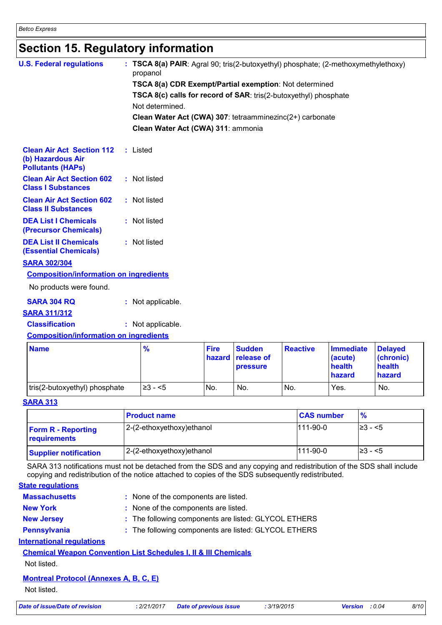### **Section 15. Regulatory information**

| <b>U.S. Federal regulations</b>                                                   | : TSCA 8(a) PAIR: Agral 90; tris(2-butoxyethyl) phosphate; (2-methoxymethylethoxy)<br>propanol |          |                    |                          |                  |                  |
|-----------------------------------------------------------------------------------|------------------------------------------------------------------------------------------------|----------|--------------------|--------------------------|------------------|------------------|
|                                                                                   | TSCA 8(a) CDR Exempt/Partial exemption: Not determined                                         |          |                    |                          |                  |                  |
|                                                                                   | <b>TSCA 8(c) calls for record of SAR:</b> tris(2-butoxyethyl) phosphate                        |          |                    |                          |                  |                  |
|                                                                                   | Not determined.                                                                                |          |                    |                          |                  |                  |
|                                                                                   | Clean Water Act (CWA) 307: tetraamminezinc(2+) carbonate                                       |          |                    |                          |                  |                  |
|                                                                                   | Clean Water Act (CWA) 311: ammonia                                                             |          |                    |                          |                  |                  |
| <b>Clean Air Act Section 112</b><br>(b) Hazardous Air<br><b>Pollutants (HAPs)</b> | : Listed                                                                                       |          |                    |                          |                  |                  |
| <b>Clean Air Act Section 602</b><br><b>Class I Substances</b>                     | : Not listed                                                                                   |          |                    |                          |                  |                  |
| <b>Clean Air Act Section 602</b><br><b>Class II Substances</b>                    | : Not listed                                                                                   |          |                    |                          |                  |                  |
| <b>DEA List I Chemicals</b><br>(Precursor Chemicals)                              | : Not listed                                                                                   |          |                    |                          |                  |                  |
| <b>DEA List II Chemicals</b><br><b>(Essential Chemicals)</b>                      | : Not listed                                                                                   |          |                    |                          |                  |                  |
| <b>SARA 302/304</b>                                                               |                                                                                                |          |                    |                          |                  |                  |
| <b>Composition/information on ingredients</b>                                     |                                                                                                |          |                    |                          |                  |                  |
| No products were found.                                                           |                                                                                                |          |                    |                          |                  |                  |
| <b>SARA 304 RQ</b>                                                                | : Not applicable.                                                                              |          |                    |                          |                  |                  |
| <b>SARA 311/312</b>                                                               |                                                                                                |          |                    |                          |                  |                  |
| <b>Classification</b>                                                             | : Not applicable.                                                                              |          |                    |                          |                  |                  |
| <b>Composition/information on ingredients</b>                                     |                                                                                                |          |                    |                          |                  |                  |
| $\mathbf{A}$                                                                      | $\mathbf{a}$                                                                                   | ومروائها | <b>Constantine</b> | $R_{\rm max}$<br>$-45.1$ | التقاعد المتناور | <b>Distanced</b> |

| <b>Name</b>                   | $\frac{9}{6}$ | <b>Fire</b> | <b>Sudden</b><br><b>hazard</b> release of<br><b>pressure</b> | <b>Reactive</b> | <b>Immediate</b><br>(acute)<br>health<br>hazard | <b>Delaved</b><br>$ $ (chronic)<br>health<br>hazard |
|-------------------------------|---------------|-------------|--------------------------------------------------------------|-----------------|-------------------------------------------------|-----------------------------------------------------|
| tris(2-butoxyethyl) phosphate | $\geq 3 - 5$  | No.         | No.                                                          | No.             | Yes.                                            | No.                                                 |

#### **SARA 313**

|                                           | <b>Product name</b>        | <b>CAS number</b> | $\frac{9}{6}$ |
|-------------------------------------------|----------------------------|-------------------|---------------|
| <b>Form R - Reporting</b><br>requirements | 2-(2-ethoxyethoxy) ethanol | $111-90-0$        | $\geq$ 3 - <5 |
| <b>Supplier notification</b>              | 2-(2-ethoxyethoxy) ethanol | 111-90-0          | $\geq$ 3 − <5 |

SARA 313 notifications must not be detached from the SDS and any copying and redistribution of the SDS shall include copying and redistribution of the notice attached to copies of the SDS subsequently redistributed.

#### **State regulations**

| <b>Massachusetts</b>             | : None of the components are listed.                                       |
|----------------------------------|----------------------------------------------------------------------------|
| <b>New York</b>                  | : None of the components are listed.                                       |
| <b>New Jersey</b>                | : The following components are listed: GLYCOL ETHERS                       |
| Pennsylvania                     | : The following components are listed: GLYCOL ETHERS                       |
| <b>International requlations</b> |                                                                            |
|                                  | <b>Chemical Weapon Convention List Schedules I, II &amp; III Chemicals</b> |
|                                  |                                                                            |

### Not listed.

### **Montreal Protocol (Annexes A, B, C, E)**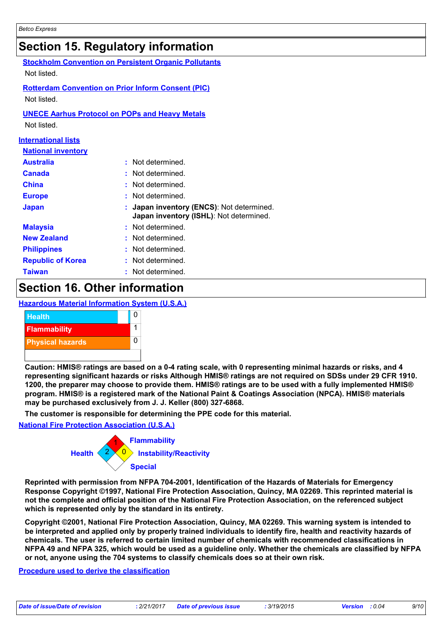### **Section 15. Regulatory information**

| Not listed.                | <b>Stockholm Convention on Persistent Organic Pollutants</b>                       |  |  |  |
|----------------------------|------------------------------------------------------------------------------------|--|--|--|
| Not listed.                | <b>Rotterdam Convention on Prior Inform Consent (PIC)</b>                          |  |  |  |
| Not listed.                | <b>UNECE Aarhus Protocol on POPs and Heavy Metals</b>                              |  |  |  |
| <b>International lists</b> |                                                                                    |  |  |  |
| <b>National inventory</b>  |                                                                                    |  |  |  |
| <b>Australia</b>           | : Not determined.                                                                  |  |  |  |
| Canada                     | Not determined.                                                                    |  |  |  |
| China                      | Not determined.                                                                    |  |  |  |
| <b>Europe</b>              | Not determined.                                                                    |  |  |  |
| <b>Japan</b>               | Japan inventory (ENCS): Not determined.<br>Japan inventory (ISHL): Not determined. |  |  |  |
| <b>Malaysia</b>            | : Not determined.                                                                  |  |  |  |
| <b>New Zealand</b>         | Not determined.                                                                    |  |  |  |
| <b>Philippines</b>         | Not determined.                                                                    |  |  |  |
| <b>Republic of Korea</b>   | Not determined.                                                                    |  |  |  |
| <b>Taiwan</b>              | Not determined.                                                                    |  |  |  |
|                            |                                                                                    |  |  |  |

### **Section 16. Other information**

#### **Hazardous Material Information System (U.S.A.)**



**Caution: HMIS® ratings are based on a 0-4 rating scale, with 0 representing minimal hazards or risks, and 4 representing significant hazards or risks Although HMIS® ratings are not required on SDSs under 29 CFR 1910. 1200, the preparer may choose to provide them. HMIS® ratings are to be used with a fully implemented HMIS® program. HMIS® is a registered mark of the National Paint & Coatings Association (NPCA). HMIS® materials may be purchased exclusively from J. J. Keller (800) 327-6868.**

**The customer is responsible for determining the PPE code for this material.**

#### **National Fire Protection Association (U.S.A.)**



**Reprinted with permission from NFPA 704-2001, Identification of the Hazards of Materials for Emergency Response Copyright ©1997, National Fire Protection Association, Quincy, MA 02269. This reprinted material is not the complete and official position of the National Fire Protection Association, on the referenced subject which is represented only by the standard in its entirety.**

**Copyright ©2001, National Fire Protection Association, Quincy, MA 02269. This warning system is intended to be interpreted and applied only by properly trained individuals to identify fire, health and reactivity hazards of chemicals. The user is referred to certain limited number of chemicals with recommended classifications in NFPA 49 and NFPA 325, which would be used as a guideline only. Whether the chemicals are classified by NFPA or not, anyone using the 704 systems to classify chemicals does so at their own risk.**

#### **Procedure used to derive the classification**